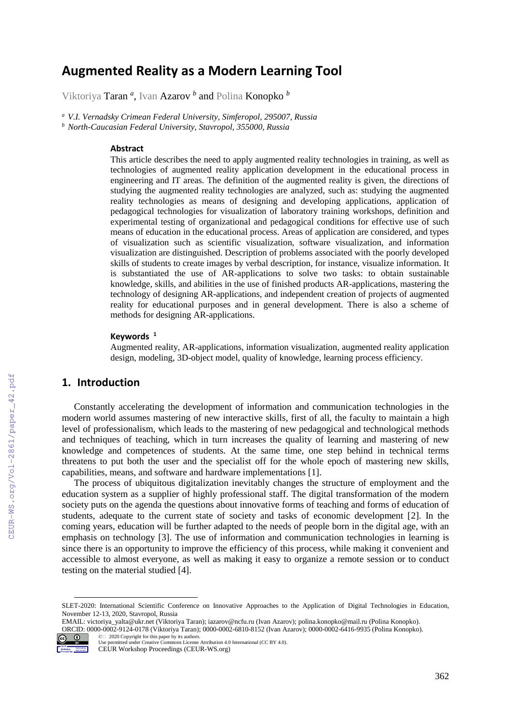# **Augmented Reality as a Modern Learning Tool**

Viktoriya Taran *<sup>a</sup>* , Ivan Azarov *<sup>b</sup>* and Polina Konopko *<sup>b</sup>*

*<sup>a</sup> V.I. Vernadsky Crimean Federal University, Simferopol, 295007, Russia <sup>b</sup> North-Caucasian Federal University, Stavropol, 355000, Russia*

#### **Abstract**

This article describes the need to apply augmented reality technologies in training, as well as technologies of augmented reality application development in the educational process in engineering and IT areas. The definition of the augmented reality is given, the directions of studying the augmented reality technologies are analyzed, such as: studying the augmented reality technologies as means of designing and developing applications, application of pedagogical technologies for visualization of laboratory training workshops, definition and experimental testing of organizational and pedagogical conditions for effective use of such means of education in the educational process. Areas of application are considered, and types of visualization such as scientific visualization, software visualization, and information visualization are distinguished. Description of problems associated with the poorly developed skills of students to create images by verbal description, for instance, visualize information. It is substantiated the use of AR-applications to solve two tasks: to obtain sustainable knowledge, skills, and abilities in the use of finished products AR-applications, mastering the technology of designing AR-applications, and independent creation of projects of augmented reality for educational purposes and in general development. There is also a scheme of methods for designing AR-applications.

#### **Keywords <sup>1</sup>**

Augmented reality, AR-applications, information visualization, augmented reality application design, modeling, 3D-object model, quality of knowledge, learning process efficiency.

## **1. Introduction**

Constantly accelerating the development of information and communication technologies in the modern world assumes mastering of new interactive skills, first of all, the faculty to maintain a high level of professionalism, which leads to the mastering of new pedagogical and technological methods and techniques of teaching, which in turn increases the quality of learning and mastering of new knowledge and competences of students. At the same time, one step behind in technical terms threatens to put both the user and the specialist off for the whole epoch of mastering new skills, capabilities, means, and software and hardware implementations [1].

The process of ubiquitous digitalization inevitably changes the structure of employment and the education system as a supplier of highly professional staff. The digital transformation of the modern society puts on the agenda the questions about innovative forms of teaching and forms of education of students, adequate to the current state of society and tasks of economic development [2]. In the coming years, education will be further adapted to the needs of people born in the digital age, with an emphasis on technology [3]. The use of information and communication technologies in learning is since there is an opportunity to improve the efficiency of this process, while making it convenient and accessible to almost everyone, as well as making it easy to organize a remote session or to conduct testing on the material studied [4].

EMAIL: victoriya\_yalta@ukr.net (Viktoriya Taran); iazarov@ncfu.ru (Ivan Azarov); polina.konopko@mail.ru (Polina Konopko). ORCID: 0000-0002-9124-0178 (Viktoriya Taran); 0000-0002-6810-8152 (Ivan Azarov); 0000-0002-6416-9935 (Polina Konopko).



©️ 2020 Copyright for this paper by its authors. Use permitted under Creative Commons License Attribution 4.0 International (CC BY 4.0).

SLET-2020: International Scientific Conference on Innovative Approaches to the Application of Digital Technologies in Education, November 12-13, 2020, Stavropol, Russia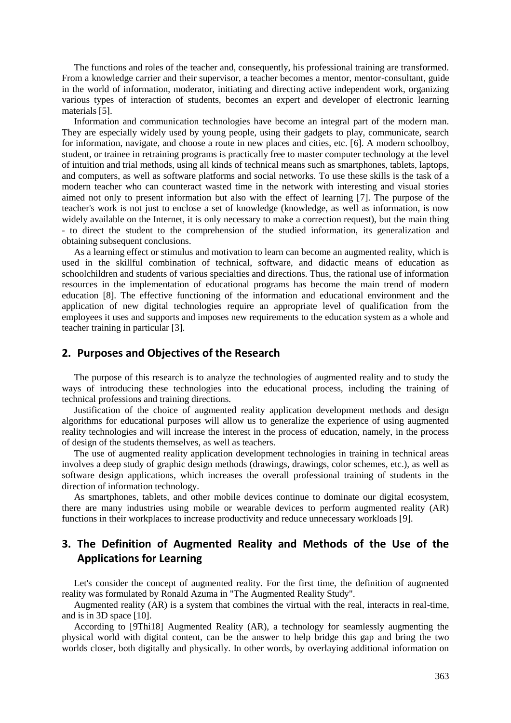The functions and roles of the teacher and, consequently, his professional training are transformed. From a knowledge carrier and their supervisor, a teacher becomes a mentor, mentor-consultant, guide in the world of information, moderator, initiating and directing active independent work, organizing various types of interaction of students, becomes an expert and developer of electronic learning materials [5].

Information and communication technologies have become an integral part of the modern man. They are especially widely used by young people, using their gadgets to play, communicate, search for information, navigate, and choose a route in new places and cities, etc. [6]. A modern schoolboy, student, or trainee in retraining programs is practically free to master computer technology at the level of intuition and trial methods, using all kinds of technical means such as smartphones, tablets, laptops, and computers, as well as software platforms and social networks. To use these skills is the task of a modern teacher who can counteract wasted time in the network with interesting and visual stories aimed not only to present information but also with the effect of learning [7]. The purpose of the teacher's work is not just to enclose a set of knowledge (knowledge, as well as information, is now widely available on the Internet, it is only necessary to make a correction request), but the main thing - to direct the student to the comprehension of the studied information, its generalization and obtaining subsequent conclusions.

As a learning effect or stimulus and motivation to learn can become an augmented reality, which is used in the skillful combination of technical, software, and didactic means of education as schoolchildren and students of various specialties and directions. Thus, the rational use of information resources in the implementation of educational programs has become the main trend of modern education [8]. The effective functioning of the information and educational environment and the application of new digital technologies require an appropriate level of qualification from the employees it uses and supports and imposes new requirements to the education system as a whole and teacher training in particular [3].

### **2. Purposes and Objectives of the Research**

The purpose of this research is to analyze the technologies of augmented reality and to study the ways of introducing these technologies into the educational process, including the training of technical professions and training directions.

Justification of the choice of augmented reality application development methods and design algorithms for educational purposes will allow us to generalize the experience of using augmented reality technologies and will increase the interest in the process of education, namely, in the process of design of the students themselves, as well as teachers.

The use of augmented reality application development technologies in training in technical areas involves a deep study of graphic design methods (drawings, drawings, color schemes, etc.), as well as software design applications, which increases the overall professional training of students in the direction of information technology.

As smartphones, tablets, and other mobile devices continue to dominate our digital ecosystem, there are many industries using mobile or wearable devices to perform augmented reality (AR) functions in their workplaces to increase productivity and reduce unnecessary workloads [9].

# **3. The Definition of Augmented Reality and Methods of the Use of the Applications for Learning**

Let's consider the concept of augmented reality. For the first time, the definition of augmented reality was formulated by Ronald Azuma in "The Augmented Reality Study".

Augmented reality (AR) is a system that combines the virtual with the real, interacts in real-time, and is in 3D space [10].

According to [9Thi18] Augmented Reality (AR), a technology for seamlessly augmenting the physical world with digital content, can be the answer to help bridge this gap and bring the two worlds closer, both digitally and physically. In other words, by overlaying additional information on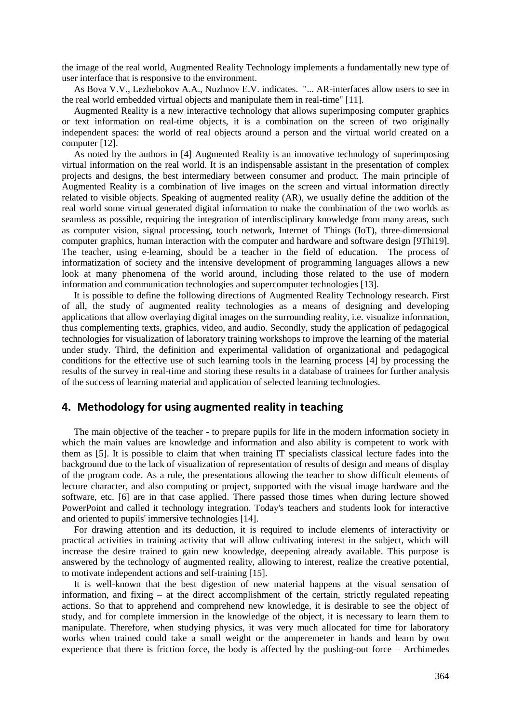the image of the real world, Augmented Reality Technology implements a fundamentally new type of user interface that is responsive to the environment.

As Bova V.V., Lezhebokov A.A., Nuzhnov E.V. indicates. "... AR-interfaces allow users to see in the real world embedded virtual objects and manipulate them in real-time" [11].

Augmented Reality is a new interactive technology that allows superimposing computer graphics or text information on real-time objects, it is a combination on the screen of two originally independent spaces: the world of real objects around a person and the virtual world created on a computer [12].

As noted by the authors in [4] Augmented Reality is an innovative technology of superimposing virtual information on the real world. It is an indispensable assistant in the presentation of complex projects and designs, the best intermediary between consumer and product. The main principle of Augmented Reality is a combination of live images on the screen and virtual information directly related to visible objects. Speaking of augmented reality (AR), we usually define the addition of the real world some virtual generated digital information to make the combination of the two worlds as seamless as possible, requiring the integration of interdisciplinary knowledge from many areas, such as computer vision, signal processing, touch network, Internet of Things (IoT), three-dimensional computer graphics, human interaction with the computer and hardware and software design [9Thi19]. The teacher, using e-learning, should be a teacher in the field of education. The process of informatization of society and the intensive development of programming languages allows a new look at many phenomena of the world around, including those related to the use of modern information and communication technologies and supercomputer technologies [13].

It is possible to define the following directions of Augmented Reality Technology research. First of all, the study of augmented reality technologies as a means of designing and developing applications that allow overlaying digital images on the surrounding reality, i.e. visualize information, thus complementing texts, graphics, video, and audio. Secondly, study the application of pedagogical technologies for visualization of laboratory training workshops to improve the learning of the material under study. Third, the definition and experimental validation of organizational and pedagogical conditions for the effective use of such learning tools in the learning process [4] by processing the results of the survey in real-time and storing these results in a database of trainees for further analysis of the success of learning material and application of selected learning technologies.

#### **4. Methodology for using augmented reality in teaching**

The main objective of the teacher - to prepare pupils for life in the modern information society in which the main values are knowledge and information and also ability is competent to work with them as [5]. It is possible to claim that when training IT specialists classical lecture fades into the background due to the lack of visualization of representation of results of design and means of display of the program code. As a rule, the presentations allowing the teacher to show difficult elements of lecture character, and also computing or project, supported with the visual image hardware and the software, etc. [6] are in that case applied. There passed those times when during lecture showed PowerPoint and called it technology integration. Today's teachers and students look for interactive and oriented to pupils' immersive technologies [14].

For drawing attention and its deduction, it is required to include elements of interactivity or practical activities in training activity that will allow cultivating interest in the subject, which will increase the desire trained to gain new knowledge, deepening already available. This purpose is answered by the technology of augmented reality, allowing to interest, realize the creative potential, to motivate independent actions and self-training [15].

It is well-known that the best digestion of new material happens at the visual sensation of information, and fixing – at the direct accomplishment of the certain, strictly regulated repeating actions. So that to apprehend and comprehend new knowledge, it is desirable to see the object of study, and for complete immersion in the knowledge of the object, it is necessary to learn them to manipulate. Therefore, when studying physics, it was very much allocated for time for laboratory works when trained could take a small weight or the amperemeter in hands and learn by own experience that there is friction force, the body is affected by the pushing-out force – Archimedes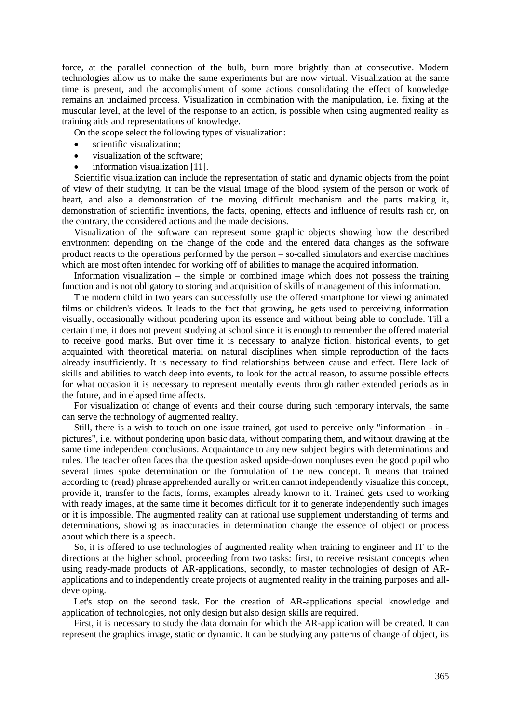force, at the parallel connection of the bulb, burn more brightly than at consecutive. Modern technologies allow us to make the same experiments but are now virtual. Visualization at the same time is present, and the accomplishment of some actions consolidating the effect of knowledge remains an unclaimed process. Visualization in combination with the manipulation, i.e. fixing at the muscular level, at the level of the response to an action, is possible when using augmented reality as training aids and representations of knowledge.

On the scope select the following types of visualization:

- scientific visualization;
- visualization of the software;
- information visualization [11].

Scientific visualization can include the representation of static and dynamic objects from the point of view of their studying. It can be the visual image of the blood system of the person or work of heart, and also a demonstration of the moving difficult mechanism and the parts making it, demonstration of scientific inventions, the facts, opening, effects and influence of results rash or, on the contrary, the considered actions and the made decisions.

Visualization of the software can represent some graphic objects showing how the described environment depending on the change of the code and the entered data changes as the software product reacts to the operations performed by the person – so-called simulators and exercise machines which are most often intended for working off of abilities to manage the acquired information.

Information visualization – the simple or combined image which does not possess the training function and is not obligatory to storing and acquisition of skills of management of this information.

The modern child in two years can successfully use the offered smartphone for viewing animated films or children's videos. It leads to the fact that growing, he gets used to perceiving information visually, occasionally without pondering upon its essence and without being able to conclude. Till a certain time, it does not prevent studying at school since it is enough to remember the offered material to receive good marks. But over time it is necessary to analyze fiction, historical events, to get acquainted with theoretical material on natural disciplines when simple reproduction of the facts already insufficiently. It is necessary to find relationships between cause and effect. Here lack of skills and abilities to watch deep into events, to look for the actual reason, to assume possible effects for what occasion it is necessary to represent mentally events through rather extended periods as in the future, and in elapsed time affects.

For visualization of change of events and their course during such temporary intervals, the same can serve the technology of augmented reality.

Still, there is a wish to touch on one issue trained, got used to perceive only "information - in pictures", i.e. without pondering upon basic data, without comparing them, and without drawing at the same time independent conclusions. Acquaintance to any new subject begins with determinations and rules. The teacher often faces that the question asked upside-down nonpluses even the good pupil who several times spoke determination or the formulation of the new concept. It means that trained according to (read) phrase apprehended aurally or written cannot independently visualize this concept, provide it, transfer to the facts, forms, examples already known to it. Trained gets used to working with ready images, at the same time it becomes difficult for it to generate independently such images or it is impossible. The augmented reality can at rational use supplement understanding of terms and determinations, showing as inaccuracies in determination change the essence of object or process about which there is a speech.

So, it is offered to use technologies of augmented reality when training to engineer and IT to the directions at the higher school, proceeding from two tasks: first, to receive resistant concepts when using ready-made products of AR-applications, secondly, to master technologies of design of ARapplications and to independently create projects of augmented reality in the training purposes and alldeveloping.

Let's stop on the second task. For the creation of AR-applications special knowledge and application of technologies, not only design but also design skills are required.

First, it is necessary to study the data domain for which the AR-application will be created. It can represent the graphics image, static or dynamic. It can be studying any patterns of change of object, its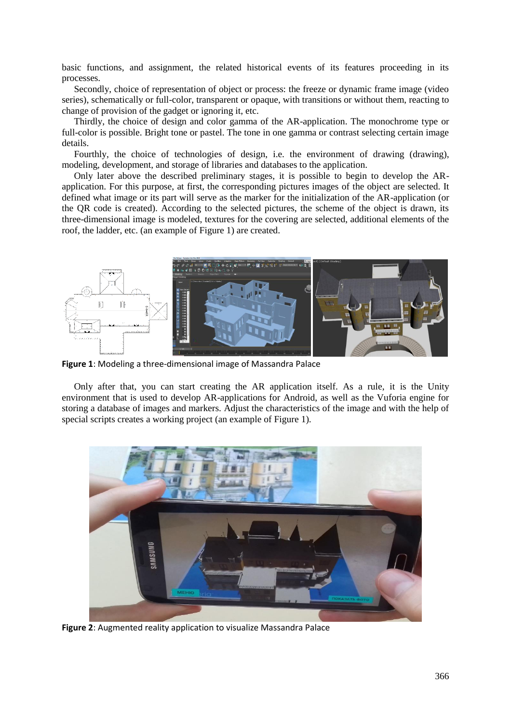basic functions, and assignment, the related historical events of its features proceeding in its processes.

Secondly, choice of representation of object or process: the freeze or dynamic frame image (video series), schematically or full-color, transparent or opaque, with transitions or without them, reacting to change of provision of the gadget or ignoring it, etc.

Thirdly, the choice of design and color gamma of the AR-application. The monochrome type or full-color is possible. Bright tone or pastel. The tone in one gamma or contrast selecting certain image details.

Fourthly, the choice of technologies of design, i.e. the environment of drawing (drawing), modeling, development, and storage of libraries and databases to the application.

Only later above the described preliminary stages, it is possible to begin to develop the ARapplication. For this purpose, at first, the corresponding pictures images of the object are selected. It defined what image or its part will serve as the marker for the initialization of the AR-application (or the QR code is created). According to the selected pictures, the scheme of the object is drawn, its three-dimensional image is modeled, textures for the covering are selected, additional elements of the roof, the ladder, etc. (an example of [Figure 1\)](#page-4-0) are created.



<span id="page-4-0"></span>**Figure 1**: Modeling a three-dimensional image of Massandra Palace

Only after that, you can start creating the AR application itself. As a rule, it is the Unity environment that is used to develop AR-applications for Android, as well as the Vuforia engine for storing a database of images and markers. Adjust the characteristics of the image and with the help of special scripts creates a working project (an example of [Figure 1\)](#page-4-0).



**Figure 2**: Augmented reality application to visualize Massandra Palace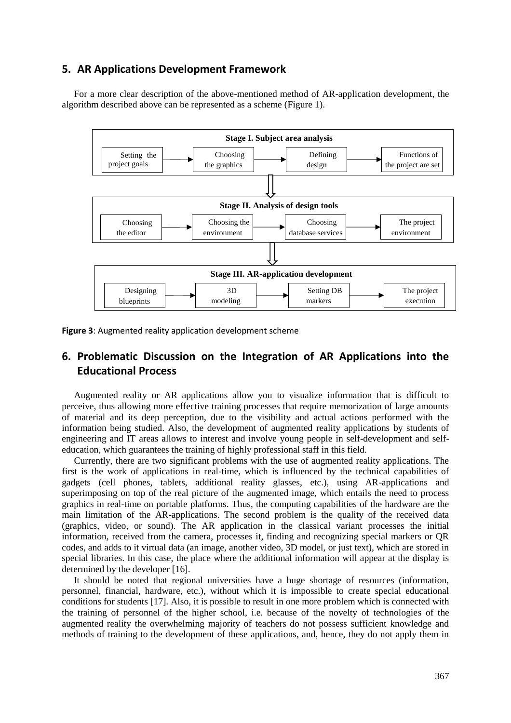#### **5. AR Applications Development Framework**

For a more clear description of the above-mentioned method of AR-application development, the algorithm described above can be represented as a scheme [\(Figure 1\)](#page-4-0).



**Figure 3**: Augmented reality application development scheme

# **6. Problematic Discussion on the Integration of AR Applications into the Educational Process**

Augmented reality or AR applications allow you to visualize information that is difficult to perceive, thus allowing more effective training processes that require memorization of large amounts of material and its deep perception, due to the visibility and actual actions performed with the information being studied. Also, the development of augmented reality applications by students of engineering and IT areas allows to interest and involve young people in self-development and selfeducation, which guarantees the training of highly professional staff in this field.

Currently, there are two significant problems with the use of augmented reality applications. The first is the work of applications in real-time, which is influenced by the technical capabilities of gadgets (cell phones, tablets, additional reality glasses, etc.), using AR-applications and superimposing on top of the real picture of the augmented image, which entails the need to process graphics in real-time on portable platforms. Thus, the computing capabilities of the hardware are the main limitation of the AR-applications. The second problem is the quality of the received data (graphics, video, or sound). The AR application in the classical variant processes the initial information, received from the camera, processes it, finding and recognizing special markers or QR codes, and adds to it virtual data (an image, another video, 3D model, or just text), which are stored in special libraries. In this case, the place where the additional information will appear at the display is determined by the developer [16].

It should be noted that regional universities have a huge shortage of resources (information, personnel, financial, hardware, etc.), without which it is impossible to create special educational conditions for students [17]. Also, it is possible to result in one more problem which is connected with the training of personnel of the higher school, i.e. because of the novelty of technologies of the augmented reality the overwhelming majority of teachers do not possess sufficient knowledge and methods of training to the development of these applications, and, hence, they do not apply them in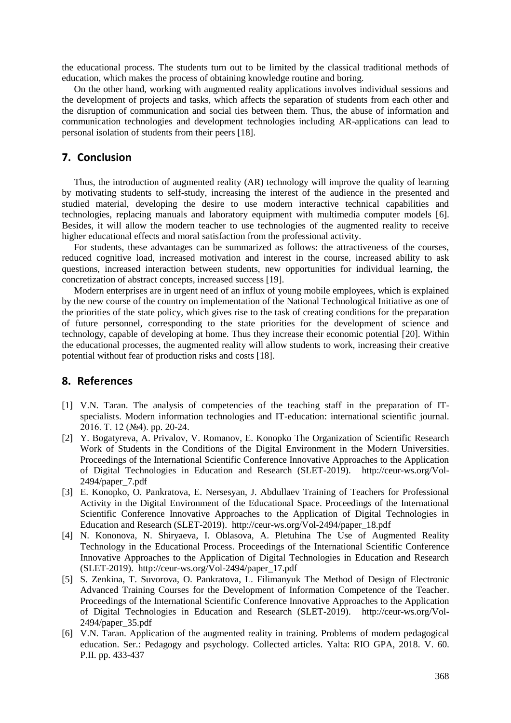the educational process. The students turn out to be limited by the classical traditional methods of education, which makes the process of obtaining knowledge routine and boring.

On the other hand, working with augmented reality applications involves individual sessions and the development of projects and tasks, which affects the separation of students from each other and the disruption of communication and social ties between them. Thus, the abuse of information and communication technologies and development technologies including AR-applications can lead to personal isolation of students from their peers [18].

#### **7. Conclusion**

Thus, the introduction of augmented reality (AR) technology will improve the quality of learning by motivating students to self-study, increasing the interest of the audience in the presented and studied material, developing the desire to use modern interactive technical capabilities and technologies, replacing manuals and laboratory equipment with multimedia computer models [6]. Besides, it will allow the modern teacher to use technologies of the augmented reality to receive higher educational effects and moral satisfaction from the professional activity.

For students, these advantages can be summarized as follows: the attractiveness of the courses, reduced cognitive load, increased motivation and interest in the course, increased ability to ask questions, increased interaction between students, new opportunities for individual learning, the concretization of abstract concepts, increased success [19].

Modern enterprises are in urgent need of an influx of young mobile employees, which is explained by the new course of the country on implementation of the National Technological Initiative as one of the priorities of the state policy, which gives rise to the task of creating conditions for the preparation of future personnel, corresponding to the state priorities for the development of science and technology, capable of developing at home. Thus they increase their economic potential [20]. Within the educational processes, the augmented reality will allow students to work, increasing their creative potential without fear of production risks and costs [18].

#### **8. References**

- [1] V.N. Taran. The analysis of competencies of the teaching staff in the preparation of ITspecialists. Modern information technologies and IT-education: international scientific journal. 2016. Т. 12 (№4). pp. 20-24.
- [2] Y. Bogatyreva, A. Privalov, V. Romanov, E. Konopko [The Organization of Scientific Research](http://ceur-ws.org/Vol-2494/paper_7.pdf)  [Work of Students in the Conditions of the Digital Environment in the Modern Universities.](http://ceur-ws.org/Vol-2494/paper_7.pdf) Proceedings of the International Scientific Conference Innovative Approaches to the Application of Digital Technologies in Education and Research (SLET-2019). [http://ceur-ws.org/Vol-](http://ceur-ws.org/Vol-2494/paper_7.pdf)[2494/paper\\_7.pdf](http://ceur-ws.org/Vol-2494/paper_7.pdf)
- [3] E. Konopko, O. Pankratova, E. Nersesyan, J. Abdullaev [Training of Teachers for Professional](http://ceur-ws.org/Vol-2494/paper_18.pdf)  [Activity in the Digital Environment of the Educational Space.](http://ceur-ws.org/Vol-2494/paper_18.pdf) Proceedings of the International Scientific Conference Innovative Approaches to the Application of Digital Technologies in Education and Research (SLET-2019). [http://ceur-ws.org/Vol-2494/paper\\_18.pdf](http://ceur-ws.org/Vol-2494/paper_18.pdf)
- [4] N. Kononova, N. Shiryaeva, I. Oblasova, A. Pletuhina [The Use of Augmented Reality](http://ceur-ws.org/Vol-2494/paper_17.pdf)  [Technology in the Educational Process.](http://ceur-ws.org/Vol-2494/paper_17.pdf) Proceedings of the International Scientific Conference Innovative Approaches to the Application of Digital Technologies in Education and Research (SLET-2019). [http://ceur-ws.org/Vol-2494/paper\\_17.pdf](http://ceur-ws.org/Vol-2494/paper_17.pdf)
- [5] S. Zenkina, T. Suvorova, O. Pankratova, L. Filimanyuk [The Method of Design of Electronic](http://ceur-ws.org/Vol-2494/paper_35.pdf)  [Advanced Training Courses for the Development of Information Competence of the Teacher.](http://ceur-ws.org/Vol-2494/paper_35.pdf) Proceedings of the International Scientific Conference Innovative Approaches to the Application of Digital Technologies in Education and Research (SLET-2019). [http://ceur-ws.org/Vol-](http://ceur-ws.org/Vol-2494/paper_35.pdf)[2494/paper\\_35.pdf](http://ceur-ws.org/Vol-2494/paper_35.pdf)
- [6] V.N. Taran. Application of the augmented reality in training. Problems of modern pedagogical education. Ser.: Pedagogy and psychology. Collected articles. Yalta: RIO GPA, 2018. V. 60. P.II. pp. 433-437